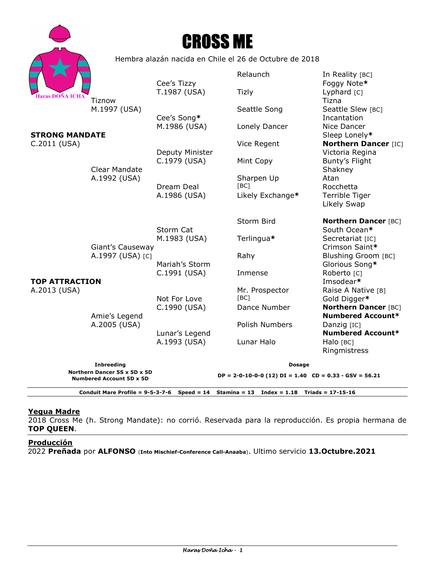|                                                                 |                                                        | <b>CROSS ME</b> |                                                              |                                                         |
|-----------------------------------------------------------------|--------------------------------------------------------|-----------------|--------------------------------------------------------------|---------------------------------------------------------|
|                                                                 | Hembra alazán nacida en Chile el 26 de Octubre de 2018 |                 |                                                              |                                                         |
|                                                                 |                                                        | Cee's Tizzy     | Relaunch                                                     | In Reality [BC]<br>Foggy Note*                          |
| <b>Haras DOÑA ICHA</b><br><b>STRONG MANDATE</b><br>C.2011 (USA) | Tiznow<br>M.1997 (USA)                                 | T.1987 (USA)    | <b>Tizly</b>                                                 | Lyphard [C]<br>Tizna                                    |
|                                                                 |                                                        | Cee's Song*     | Seattle Song                                                 | Seattle Slew [BC]<br>Incantation                        |
|                                                                 | <b>Clear Mandate</b><br>A.1992 (USA)                   | M.1986 (USA)    | Lonely Dancer                                                | Nice Dancer<br>Sleep Lonely*                            |
|                                                                 |                                                        | Deputy Minister | Vice Regent                                                  | <b>Northern Dancer [IC]</b><br>Victoria Regina          |
|                                                                 |                                                        | C.1979 (USA)    | Mint Copy                                                    | Bunty's Flight<br>Shakney                               |
|                                                                 |                                                        | Dream Deal      | Sharpen Up<br>[BC]                                           | Atan<br>Rocchetta                                       |
|                                                                 |                                                        | A.1986 (USA)    | Likely Exchange*                                             | Terrible Tiger<br>Likely Swap                           |
| <b>TOP ATTRACTION</b><br>A.2013 (USA)                           | Giant's Causeway<br>A.1997 (USA) [C]                   | Storm Cat       | Storm Bird                                                   | <b>Northern Dancer [BC]</b><br>South Ocean*             |
|                                                                 |                                                        | M.1983 (USA)    | Terlingua*                                                   | Secretariat [IC]<br>Crimson Saint*                      |
|                                                                 |                                                        | Mariah's Storm  | Rahy                                                         | <b>Blushing Groom [BC]</b><br>Glorious Song*            |
|                                                                 | Amie's Legend<br>A.2005 (USA)                          | C.1991 (USA)    | Inmense                                                      | Roberto <sub>[C]</sub><br>Imsodear*                     |
|                                                                 |                                                        | Not For Love    | Mr. Prospector<br>[BC]                                       | Raise A Native [B]<br>Gold Digger*                      |
|                                                                 |                                                        | C.1990 (USA)    | Dance Number                                                 | <b>Northern Dancer [BC]</b><br><b>Numbered Account*</b> |
|                                                                 |                                                        | Lunar's Legend  | Polish Numbers                                               | Danzig [IC]<br><b>Numbered Account*</b>                 |
|                                                                 |                                                        | A.1993 (USA)    | Lunar Halo                                                   | Halo [BC]<br>Ringmistress                               |
| <b>Inbreeding</b><br>Northern Dancer 5S x 5D x 5D               |                                                        |                 | <b>Dosage</b>                                                |                                                         |
| <b>Numbered Account 5D x 5D</b>                                 |                                                        |                 | $DP = 2-0-10-0-0$ (12) $DI = 1.40$ $CD = 0.33 - GSV = 56.21$ |                                                         |

**Conduit Mare Profile = 9-5-3-7-6 Speed = 14 Stamina = 13 Index = 1.18 Triads = 17-15-16** 

# **Yegua Madre**

2018 Cross Me (h. Strong Mandate): no corrió. Reservada para la reproducción. Es propia hermana de **TOP QUEEN**.

## **Producción**

2022 **Preñada** por **ALFONSO** (**Into Mischief-Conference Call-Anaaba**). Ultimo servicio **13.Octubre.2021**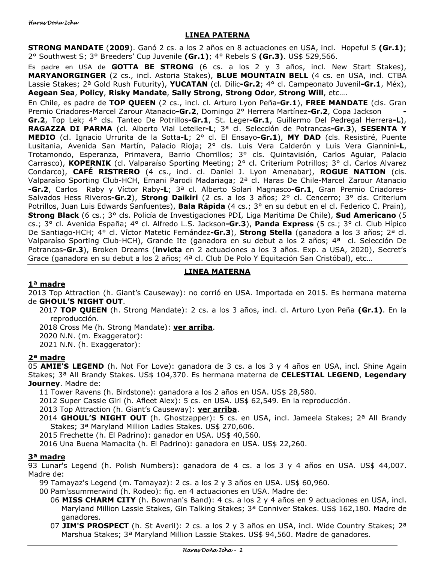## **LINEA PATERNA**

**STRONG MANDATE** (**2009**). Ganó 2 cs. a los 2 años en 8 actuaciones en USA, incl. Hopeful S **(Gr.1)**; 2° Southwest S; 3° Breeders' Cup Juvenile **(Gr.1)**; 4° Rebels S **(Gr.3)**. US\$ 529,566.

Es padre en USA de **GOTTA BE STRONG** (6 cs. a los 2 y 3 años, incl. New Start Stakes), **MARYANORGINGER** (2 cs., incl. Astoria Stakes), **BLUE MOUNTAIN BELL** (4 cs. en USA, incl. CTBA Lassie Stakes; 2ª Gold Rush Futurity), **YUCATAN** (cl. Dilic**-Gr.2**; 4° cl. Campeonato Juvenil**-Gr.1**, Méx), **Aegean Sea**, **Policy**, **Risky Mandate**, **Sally Strong**, **Strong Odor**, **Strong Will**, etc….

En Chile, es padre de **TOP QUEEN** (2 cs., incl. cl. Arturo Lyon Peña**-Gr.1**), **FREE MANDATE** (cls. Gran Premio Criadores-Marcel Zarour Atanacio**-Gr.2**, Domingo 2° Herrera Martínez**-Gr.2**, Copa Jackson **- Gr.2**, Top Lek; 4° cls. Tanteo De Potrillos**-Gr.1**, St. Leger**-Gr.1**, Guillermo Del Pedregal Herrera**-L**), **RAGAZZA DI PARMA** (cl. Alberto Vial Letelier**-L**; 3ª cl. Selección de Potrancas**-Gr.3**), **SESENTA Y MEDIO** (cl. Ignacio Urrurita de la Sotta**-L**; 2° cl. El Ensayo**-Gr.1**), **MY DAD** (cls. Resistiré, Puente Lusitania, Avenida San Martín, Palacio Rioja; 2° cls. Luis Vera Calderón y Luis Vera Giannini**-L**, Trotamondo, Esperanza, Primavera, Barrio Chorrillos; 3° cls. Quintavisión, Carlos Aguiar, Palacio Carrasco), **KOPERNIK** (cl. Valparaíso Sporting Meeting; 2° cl. Criterium Potrillos; 3° cl. Carlos Alvarez Condarco), **CAFÉ RISTRERO** (4 cs., incl. cl. Daniel J. Lyon Amenabar), **ROGUE NATION** (cls. Valparaíso Sporting Club-HCH, Ernani Parodi Madariaga; 2ª cl. Haras De Chile-Marcel Zarour Atanacio **-Gr.2**, Carlos Raby y Víctor Raby**-L**; 3ª cl. Alberto Solari Magnasco**-Gr.1**, Gran Premio Criadores-Salvados Hess Riveros**-Gr.2**), **Strong Daikiri** (2 cs. a los 3 años; 2° cl. Cencerro; 3° cls. Criterium Potrillos, Juan Luis Edwards Sanfuentes), **Bala Rápida** (4 cs.; 3° en su debut en el cl. Federico C. Prain), **Strong Black** (6 cs.; 3° cls. Policía de Investigaciones PDI, Liga Maritima De Chile), **Sud Americano** (5 cs.; 3° cl. Avenida España; 4° cl. Alfredo L.S. Jackson**-Gr.3**), **Panda Express** (5 cs.; 3° cl. Club Hípico De Santiago-HCH; 4° cl. Víctor Matetic Fernández**-Gr.3**), **Strong Stella** (ganadora a los 3 años; 2ª cl. Valparaíso Sporting Club-HCH), Grande Ite (ganadora en su debut a los 2 años; 4ª cl. Selección De Potrancas**-Gr.3**), Broken Dreams (**invicta** en 2 actuaciones a los 3 años. Exp. a USA, 2020), Secret's Grace (ganadora en su debut a los 2 años; 4ª cl. Club De Polo Y Equitación San Cristóbal), etc…

## **LINEA MATERNA**

## **1ª madre**

2013 Top Attraction (h. Giant's Causeway): no corrió en USA. Importada en 2015. Es hermana materna de **GHOUL'S NIGHT OUT**.

- 2017 **TOP QUEEN** (h. Strong Mandate): 2 cs. a los 3 años, incl. cl. Arturo Lyon Peña **(Gr.1)**. En la reproducción.
- 2018 Cross Me (h. Strong Mandate): **ver arriba**.
- 2020 N.N. (m. Exaggerator):
- 2021 N.N. (h. Exaggerator):

## **2ª madre**

05 **AMIE'S LEGEND** (h. Not For Love): ganadora de 3 cs. a los 3 y 4 años en USA, incl. Shine Again Stakes; 3ª All Brandy Stakes. US\$ 104,370. Es hermana materna de **CELESTIAL LEGEND**, **Legendary Journey**. Madre de:

11 Tower Ravens (h. Birdstone): ganadora a los 2 años en USA. US\$ 28,580.

- 2012 Super Cassie Girl (h. Afleet Alex): 5 cs. en USA. US\$ 62,549. En la reproducción.
- 2013 Top Attraction (h. Giant's Causeway): **ver arriba**.
- 2014 **GHOUL'S NIGHT OUT** (h. Ghostzapper): 5 cs. en USA, incl. Jameela Stakes; 2ª All Brandy Stakes; 3ª Maryland Million Ladies Stakes. US\$ 270,606.
- 2015 Frechette (h. El Padrino): ganador en USA. US\$ 40,560.
- 2016 Una Buena Mamacita (h. El Padrino): ganadora en USA. US\$ 22,260.

## **3ª madre**

93 Lunar's Legend (h. Polish Numbers): ganadora de 4 cs. a los 3 y 4 años en USA. US\$ 44,007. Madre de:

99 Tamayaz's Legend (m. Tamayaz): 2 cs. a los 2 y 3 años en USA. US\$ 60,960.

- 00 Pam'ssummerwind (h. Rodeo): fig. en 4 actuaciones en USA. Madre de:
	- 06 **MISS CHARM CITY** (h. Bowman's Band): 4 cs. a los 2 y 4 años en 9 actuaciones en USA, incl. Maryland Million Lassie Stakes, Gin Talking Stakes; 3ª Conniver Stakes. US\$ 162,180. Madre de ganadores.
	- 07 **JIM'S PROSPECT** (h. St Averil): 2 cs. a los 2 y 3 años en USA, incl. Wide Country Stakes; 2ª Marshua Stakes; 3ª Maryland Million Lassie Stakes. US\$ 94,560. Madre de ganadores.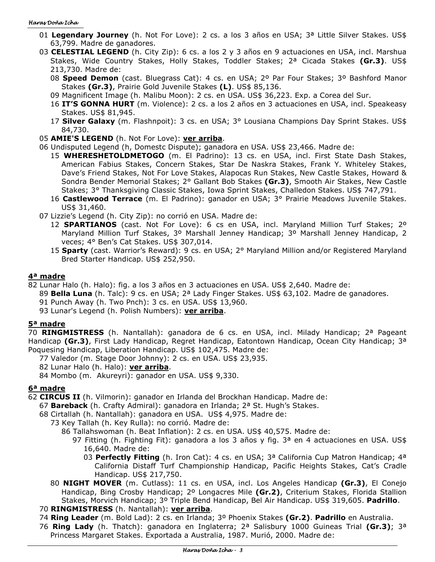#### Haras Doña Icha

- 01 **Legendary Journey** (h. Not For Love): 2 cs. a los 3 años en USA; 3ª Little Silver Stakes. US\$ 63,799. Madre de ganadores.
- 03 **CELESTIAL LEGEND** (h. City Zip): 6 cs. a los 2 y 3 años en 9 actuaciones en USA, incl. Marshua Stakes, Wide Country Stakes, Holly Stakes, Toddler Stakes; 2ª Cicada Stakes **(Gr.3)**. US\$ 213,730. Madre de:
	- 08 **Speed Demon** (cast. Bluegrass Cat): 4 cs. en USA; 2º Par Four Stakes; 3º Bashford Manor Stakes **(Gr.3)**, Prairie Gold Juvenile Stakes **(L)**. US\$ 85,136.
	- 09 Magnificent Image (h. Malibu Moon): 2 cs. en USA. US\$ 36,223. Exp. a Corea del Sur.
	- 16 **IT'S GONNA HURT** (m. Violence): 2 cs. a los 2 años en 3 actuaciones en USA, incl. Speakeasy Stakes. US\$ 81,945.
	- 17 **Silver Galaxy** (m. Flashnpoit): 3 cs. en USA; 3° Lousiana Champions Day Sprint Stakes. US\$ 84,730.
- 05 **AMIE'S LEGEND** (h. Not For Love): **ver arriba**.
- 06 Undisputed Legend (h, Domestc Dispute); ganadora en USA. US\$ 23,466. Madre de:
	- 15 **WHERESHETOLDMETOGO** (m. El Padrino): 13 cs. en USA, incl. First State Dash Stakes, American Fabius Stakes, Concern Stakes, Star De Naskra Stakes, Frank Y. Whiteley Stakes, Dave's Friend Stakes, Not For Love Stakes, Alapocas Run Stakes, New Castle Stakes, Howard & Sondra Bender Memorial Stakes; 2° Gallant Bob Stakes **(Gr.3)**, Smooth Air Stakes, New Castle Stakes; 3° Thanksgiving Classic Stakes, Iowa Sprint Stakes, Challedon Stakes. US\$ 747,791.
	- 16 **Castlewood Terrace** (m. El Padrino): ganador en USA; 3° Prairie Meadows Juvenile Stakes. US\$ 31,460.
- 07 Lizzie's Legend (h. City Zip): no corrió en USA. Madre de:
	- 12 **SPARTIANOS** (cast. Not For Love): 6 cs en USA, incl. Maryland Million Turf Stakes; 2º Maryland Million Turf Stakes, 3º Marshall Jenney Handicap; 3º Marshall Jenney Handicap, 2 veces; 4° Ben's Cat Stakes. US\$ 307,014.
	- 15 **Sparty** (cast. Warrior's Reward): 9 cs. en USA; 2° Maryland Million and/or Registered Maryland Bred Starter Handicap. US\$ 252,950.

#### **4ª madre**

82 Lunar Halo (h. Halo): fig. a los 3 años en 3 actuaciones en USA. US\$ 2,640. Madre de:

89 **Bella Luna** (h. Talc): 9 cs. en USA; 2ª Lady Finger Stakes. US\$ 63,102. Madre de ganadores.

- 91 Punch Away (h. Two Pnch): 3 cs. en USA. US\$ 13,960.
- 93 Lunar's Legend (h. Polish Numbers): **ver arriba**.

## **5ª madre**

70 **RINGMISTRESS** (h. Nantallah): ganadora de 6 cs. en USA, incl. Milady Handicap; 2ª Pageant Handicap **(Gr.3)**, First Lady Handicap, Regret Handicap, Eatontown Handicap, Ocean City Handicap; 3ª Poquesing Handicap, Liberation Handicap. US\$ 102,475. Madre de:

77 Valedor (m. Stage Door Johnny): 2 cs. en USA. US\$ 23,935.

82 Lunar Halo (h. Halo): **ver arriba**.

84 Mombo (m. Akureyri): ganador en USA. US\$ 9,330.

# **6ª madre**

62 **CIRCUS II** (h. Vilmorin): ganador en Irlanda del Brockhan Handicap. Madre de:

- 67 **Bareback** (h. Crafty Admiral): ganadora en Irlanda; 2ª St. Hugh's Stakes.
- 68 Cirtallah (h. Nantallah): ganadora en USA. US\$ 4,975. Madre de:
	- 73 Key Tallah (h. Key Rulla): no corrió. Madre de:
		- 86 Tallahswoman (h. Beat Inflation): 2 cs. en USA. US\$ 40,575. Madre de:
			- 97 Fitting (h. Fighting Fit): ganadora a los 3 años y fig.  $3<sup>a</sup>$  en 4 actuaciones en USA. US\$ 16,640. Madre de:
				- 03 **Perfectly Fitting** (h. Iron Cat): 4 cs. en USA; 3ª California Cup Matron Handicap; 4ª California Distaff Turf Championship Handicap, Pacific Heights Stakes, Cat's Cradle Handicap. US\$ 217,750.
	- 80 **NIGHT MOVER** (m. Cutlass): 11 cs. en USA, incl. Los Angeles Handicap **(Gr.3)**, El Conejo Handicap, Bing Crosby Handicap; 2º Longacres Mile **(Gr.2)**, Criterium Stakes, Florida Stallion Stakes, Morvich Handicap; 3º Triple Bend Handicap, Bel Air Handicap. US\$ 319,605. **Padrillo**.
- 70 **RINGMISTRESS** (h. Nantallah): **ver arriba**.
- 74 **Ring Leader** (m. Bold Lad): 2 cs. en Irlanda; 3º Phoenix Stakes **(Gr.2)**. **Padrillo** en Australia.
- 76 **Ring Lady** (h. Thatch): ganadora en Inglaterra; 2ª Salisbury 1000 Guineas Trial **(Gr.3)**; 3ª Princess Margaret Stakes. Exportada a Australia, 1987. Murió, 2000. Madre de: